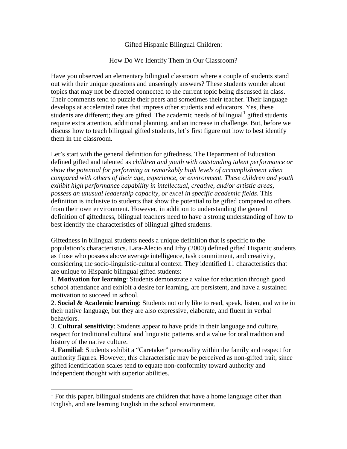Gifted Hispanic Bilingual Children:

How Do We Identify Them in Our Classroom?

Have you observed an elementary bilingual classroom where a couple of students stand out with their unique questions and unseeingly answers? These students wonder about topics that may not be directed connected to the current topic being discussed in class. Their comments tend to puzzle their peers and sometimes their teacher. Their language develops at accelerated rates that impress other students and educators. Yes, these students are different; they are gifted. The academic needs of bilingual gifted students require extra attention, additional planning, and an increase in challenge. But, before we discuss how to teach bilingual gifted students, let's first figure out how to best identify them in the classroom.

Let's start with the general definition for giftedness. The Department of Education defined gifted and talented as *children and youth with outstanding talent performance or show the potential for performing at remarkably high levels of accomplishment when compared with others of their age, experience, or environment. These children and youth exhibit high performance capability in intellectual, creative, and/or artistic areas, possess an unusual leadership capacity, or excel in specific academic fields*. This definition is inclusive to students that show the potential to be gifted compared to others from their own environment. However, in addition to understanding the general definition of giftedness, bilingual teachers need to have a strong understanding of how to best identify the characteristics of bilingual gifted students.

Giftedness in bilingual students needs a unique definition that is specific to the population's characteristics. Lara-Alecio and Irby (2000) defined gifted Hispanic students as those who possess above average intelligence, task commitment, and creativity, considering the socio-linguistic-cultural context. They identified 11 characteristics that are unique to Hispanic bilingual gifted students:

1. **Motivation for learning**: Students demonstrate a value for education through good school attendance and exhibit a desire for learning, are persistent, and have a sustained motivation to succeed in school.

2. **Social & Academic learning**: Students not only like to read, speak, listen, and write in their native language, but they are also expressive, elaborate, and fluent in verbal behaviors.

3. **Cultural sensitivity**: Students appear to have pride in their language and culture, respect for traditional cultural and linguistic patterns and a value for oral tradition and history of the native culture.

4. **Familial**: Students exhibit a "Caretaker" personality within the family and respect for authority figures. However, this characteristic may be perceived as non-gifted trait, since gifted identification scales tend to equate non-conformity toward authority and independent thought with superior abilities.

<span id="page-0-0"></span> $<sup>1</sup>$  For this paper, bilingual students are children that have a home language other than</sup> English, and are learning English in the school environment.